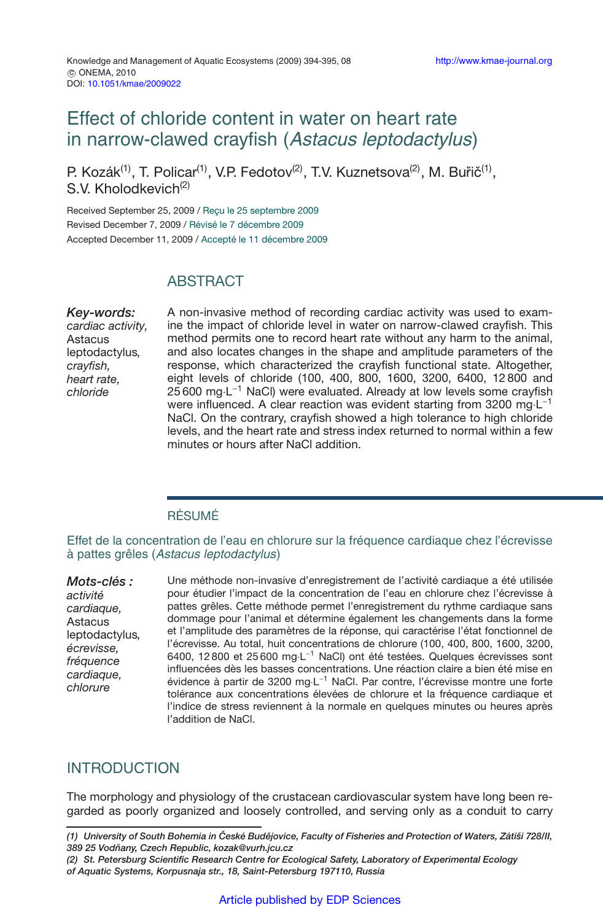# Effect of chloride content in water on heart rate in narrow-clawed crayfish (Astacus leptodactylus)

P. Kozák<sup>(1)</sup>, T. Policar<sup>(1)</sup>, V.P. Fedotov<sup>(2)</sup>, T.V. Kuznetsova<sup>(2)</sup>, M. Buřič<sup>(1)</sup>, S.V. Kholodkevich<sup>(2)</sup>

Received September 25, 2009 / Reçu le 25 septembre 2009 Revised December 7, 2009 / Révisé le 7 décembre 2009 Accepted December 11, 2009 / Accepté le 11 décembre 2009

## **ABSTRACT**

*Key-words: cardiac activity,* Astacus leptodactylus*, crayfish, heart rate, chloride*

A non-invasive method of recording cardiac activity was used to examine the impact of chloride level in water on narrow-clawed crayfish. This method permits one to record heart rate without any harm to the animal, and also locates changes in the shape and amplitude parameters of the response, which characterized the crayfish functional state. Altogether, eight levels of chloride (100, 400, 800, 1600, 3200, 6400, 12 800 and 25 600 mg⋅L<sup>-1</sup> NaCl) were evaluated. Already at low levels some crayfish were influenced. A clear reaction was evident starting from 3200 mg⋅L<sup>-1</sup> NaCl. On the contrary, crayfish showed a high tolerance to high chloride levels, and the heart rate and stress index returned to normal within a few minutes or hours after NaCl addition.

### RÉSUMÉ

Effet de la concentration de l'eau en chlorure sur la fréquence cardiaque chez l'écrevisse à pattes grêles (Astacus leptodactylus)

*Mots-clés : activité cardiaque,* Astacus leptodactylus*, écrevisse, fréquence cardiaque, chlorure*

Une méthode non-invasive d'enregistrement de l'activité cardiaque a été utilisée pour étudier l'impact de la concentration de l'eau en chlorure chez l'écrevisse à pattes grêles. Cette méthode permet l'enregistrement du rythme cardiaque sans dommage pour l'animal et détermine également les changements dans la forme et l'amplitude des paramètres de la réponse, qui caractérise l'état fonctionnel de l'écrevisse. Au total, huit concentrations de chlorure (100, 400, 800, 1600, 3200, 6400, 12 800 et 25 600 mg·L−<sup>1</sup> NaCl) ont été testées. Quelques écrevisses sont influencées dès les basses concentrations. Une réaction claire a bien été mise en évidence à partir de 3200 mg·L−<sup>1</sup> NaCl. Par contre, l'écrevisse montre une forte tolérance aux concentrations élevées de chlorure et la fréquence cardiaque et l'indice de stress reviennent à la normale en quelques minutes ou heures après l'addition de NaCl.

## INTRODUCTION

The morphology and physiology of the crustacean cardiovascular system have long been regarded as poorly organized and loosely controlled, and serving only as a conduit to carry

*(2) St. Petersburg Scientific Research Centre for Ecological Safety, Laboratory of Experimental Ecology of Aquatic Systems, Korpusnaja str., 18, Saint-Petersburg 197110, Russia*

*<sup>(1)</sup> University of South Bohemia in Ceské Bud ˇ ejovice, Faculty of Fisheries and Protection of Waters, Zátiši 728/II, ˇ 389 25 Vodnany, Czech Republic, kozak@vurh.jcu.cz ˇ*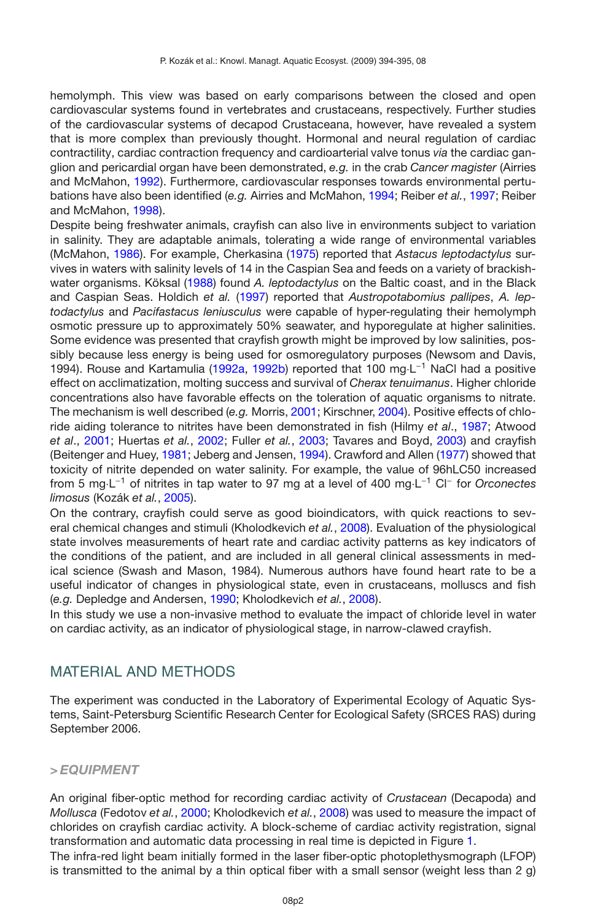hemolymph. This view was based on early comparisons between the closed and open cardiovascular systems found in vertebrates and crustaceans, respectively. Further studies of the cardiovascular systems of decapod Crustaceana, however, have revealed a system that is more complex than previously thought. Hormonal and neural regulation of cardiac contractility, cardiac contraction frequency and cardioarterial valve tonus *via* the cardiac ganglion and pericardial organ have been demonstrated, *e.g.* in the crab *Cancer magister* (Airries and McMahon, [1992](#page-8-0)). Furthermore, cardiovascular responses towards environmental pertubations have also been identified (*e.g.* Airries and McMahon, [1994;](#page-8-1) Reiber *et al.*, [1997](#page-9-0); Reiber and McMahon, [1998\)](#page-9-1).

Despite being freshwater animals, crayfish can also live in environments subject to variation in salinity. They are adaptable animals, tolerating a wide range of environmental variables (McMahon, [1986](#page-8-2)). For example, Cherkasina [\(1975](#page-8-3)) reported that *Astacus leptodactylus* survives in waters with salinity levels of 14 in the Caspian Sea and feeds on a variety of brackishwater organisms. Köksal [\(1988](#page-8-4)) found *A. leptodactylus* on the Baltic coast, and in the Black and Caspian Seas. Holdich *et al.* [\(1997\)](#page-8-5) reported that *Austropotabomius pallipes*, *A. leptodactylus* and *Pacifastacus leniusculus* were capable of hyper-regulating their hemolymph osmotic pressure up to approximately 50% seawater, and hyporegulate at higher salinities. Some evidence was presented that crayfish growth might be improved by low salinities, possibly because less energy is being used for osmoregulatory purposes (Newsom and Davis, 1994). Rouse and Kartamulia [\(1992a](#page-9-2), [1992b](#page-9-3)) reported that 100 mg·L−<sup>1</sup> NaCl had a positive effect on acclimatization, molting success and survival of *Cherax tenuimanus*. Higher chloride concentrations also have favorable effects on the toleration of aquatic organisms to nitrate. The mechanism is well described (*e.g.* Morris, [2001](#page-8-6); Kirschner, [2004](#page-8-7)). Positive effects of chloride aiding tolerance to nitrites have been demonstrated in fish (Hilmy *et al*., [1987;](#page-8-8) Atwood *et al*., [2001](#page-8-9); Huertas *et al.*, [2002;](#page-8-10) Fuller *et al.*, [2003](#page-8-11); Tavares and Boyd, [2003](#page-9-4)) and crayfish (Beitenger and Huey, [1981;](#page-8-12) Jeberg and Jensen, [1994](#page-8-13)). Crawford and Allen [\(1977](#page-8-14)) showed that toxicity of nitrite depended on water salinity. For example, the value of 96hLC50 increased from 5 mg·L−<sup>1</sup> of nitrites in tap water to 97 mg at a level of 400 mg·L−<sup>1</sup> Cl<sup>−</sup> for *Orconectes limosus* (Kozák *et al.*, [2005](#page-8-15)).

On the contrary, crayfish could serve as good bioindicators, with quick reactions to several chemical changes and stimuli (Kholodkevich *et al.*, [2008](#page-8-16)). Evaluation of the physiological state involves measurements of heart rate and cardiac activity patterns as key indicators of the conditions of the patient, and are included in all general clinical assessments in medical science (Swash and Mason, 1984). Numerous authors have found heart rate to be a useful indicator of changes in physiological state, even in crustaceans, molluscs and fish (*e.g.* Depledge and Andersen, [1990;](#page-8-17) Kholodkevich *et al.*, [2008](#page-8-16)).

In this study we use a non-invasive method to evaluate the impact of chloride level in water on cardiac activity, as an indicator of physiological stage, in narrow-clawed crayfish.

### MATERIAL AND METHODS

The experiment was conducted in the Laboratory of Experimental Ecology of Aquatic Systems, Saint-Petersburg Scientific Research Center for Ecological Safety (SRCES RAS) during September 2006.

### *> EQUIPMENT*

An original fiber-optic method for recording cardiac activity of *Crustacean* (Decapoda) and *Mollusca* (Fedotov *et al.*, [2000](#page-8-18); Kholodkevich *et al.*, [2008\)](#page-8-16) was used to measure the impact of chlorides on crayfish cardiac activity. A block-scheme of cardiac activity registration, signal transformation and automatic data processing in real time is depicted in Figure [1.](#page-2-0)

The infra-red light beam initially formed in the laser fiber-optic photoplethysmograph (LFOP) is transmitted to the animal by a thin optical fiber with a small sensor (weight less than 2 g)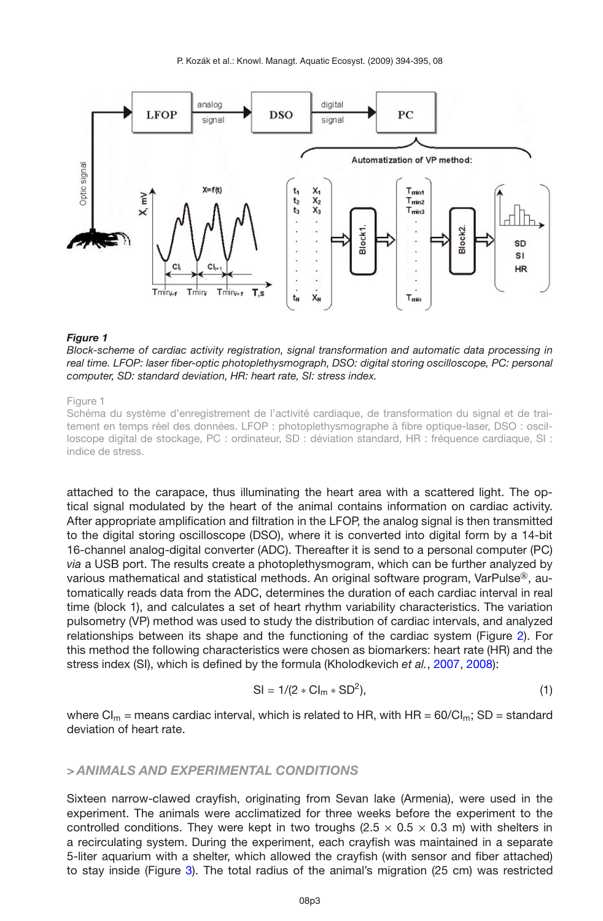<span id="page-2-0"></span>P. Kozák et al.: Knowl. Managt. Aquatic Ecosyst. (2009) 394-395, 08



#### *Figure 1*

*Block-scheme of cardiac activity registration, signal transformation and automatic data processing in real time. LFOP: laser fiber-optic photoplethysmograph, DSO: digital storing oscilloscope, PC: personal computer, SD: standard deviation, HR: heart rate, SI: stress index.*

#### Figure 1

Schéma du système d'enregistrement de l'activité cardiaque, de transformation du signal et de traitement en temps réel des données. LFOP : photoplethysmographe à fibre optique-laser, DSO : oscilloscope digital de stockage, PC : ordinateur, SD : déviation standard, HR : fréquence cardiaque, SI : indice de stress.

attached to the carapace, thus illuminating the heart area with a scattered light. The optical signal modulated by the heart of the animal contains information on cardiac activity. After appropriate amplification and filtration in the LFOP, the analog signal is then transmitted to the digital storing oscilloscope (DSO), where it is converted into digital form by a 14-bit 16-channel analog-digital converter (ADC). Thereafter it is send to a personal computer (PC) *via* a USB port. The results create a photoplethysmogram, which can be further analyzed by various mathematical and statistical methods. An original software program, VarPulse®, automatically reads data from the ADC, determines the duration of each cardiac interval in real time (block 1), and calculates a set of heart rhythm variability characteristics. The variation pulsometry (VP) method was used to study the distribution of cardiac intervals, and analyzed relationships between its shape and the functioning of the cardiac system (Figure [2\)](#page-3-0). For this method the following characteristics were chosen as biomarkers: heart rate (HR) and the stress index (SI), which is defined by the formula (Kholodkevich *et al.*, [2007](#page-8-19), [2008\)](#page-8-16):

$$
SI = 1/(2 * CIm * SD2),
$$
 (1)

where  $Cl_m$  = means cardiac interval, which is related to HR, with HR = 60/Cl<sub>m</sub>; SD = standard deviation of heart rate.

#### *> ANIMALS AND EXPERIMENTAL CONDITIONS*

Sixteen narrow-clawed crayfish, originating from Sevan lake (Armenia), were used in the experiment. The animals were acclimatized for three weeks before the experiment to the controlled conditions. They were kept in two troughs (2.5  $\times$  0.5  $\times$  0.3 m) with shelters in a recirculating system. During the experiment, each crayfish was maintained in a separate 5-liter aquarium with a shelter, which allowed the crayfish (with sensor and fiber attached) to stay inside (Figure [3\)](#page-3-1). The total radius of the animal's migration (25 cm) was restricted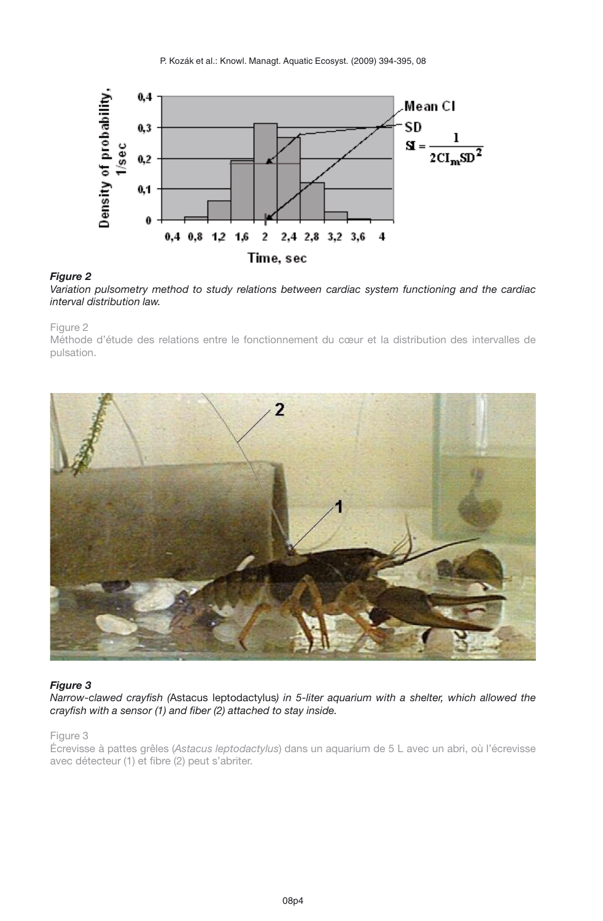<span id="page-3-0"></span>

### *Figure 2*

*Variation pulsometry method to study relations between cardiac system functioning and the cardiac interval distribution law.*

Figure 2

Méthode d'étude des relations entre le fonctionnement du cœur et la distribution des intervalles de pulsation.

<span id="page-3-1"></span>

#### *Figure 3*

*Narrow-clawed crayfish (*Astacus leptodactylus*) in 5-liter aquarium with a shelter, which allowed the crayfish with a sensor (1) and fiber (2) attached to stay inside.*

#### Figure 3

Écrevisse à pattes grêles (*Astacus leptodactylus*) dans un aquarium de 5 L avec un abri, où l'écrevisse avec détecteur (1) et fibre (2) peut s'abriter.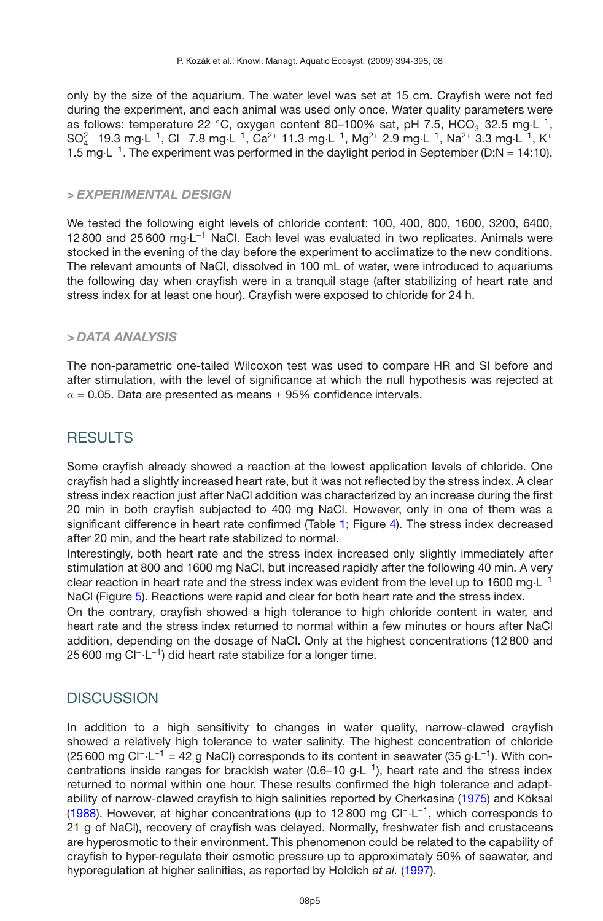only by the size of the aquarium. The water level was set at 15 cm. Crayfish were not fed during the experiment, and each animal was used only once. Water quality parameters were as follows: temperature 22 °C, oxygen content 80-100% sat, pH 7.5, HCO<sub>3</sub> 32.5 mg·L<sup>-1</sup>, SO<sup>2</sup><sup>-</sup> 19.3 mg·L<sup>-1</sup>, Cl<sup>-</sup> 7.8 mg·L<sup>-1</sup>, Ca<sup>2+</sup> 11.3 mg·L<sup>-1</sup>, Mg<sup>2+</sup> 2.9 mg·L<sup>-1</sup>, Na<sup>2+</sup> 3.3 mg·L<sup>-1</sup>, K<sup>+</sup> 1.5 mg·L−1. The experiment was performed in the daylight period in September (D:N = 14:10).

### *> EXPERIMENTAL DESIGN*

We tested the following eight levels of chloride content: 100, 400, 800, 1600, 3200, 6400, 12 800 and 25 600 mg·L−<sup>1</sup> NaCl. Each level was evaluated in two replicates. Animals were stocked in the evening of the day before the experiment to acclimatize to the new conditions. The relevant amounts of NaCl, dissolved in 100 mL of water, were introduced to aquariums the following day when crayfish were in a tranquil stage (after stabilizing of heart rate and stress index for at least one hour). Crayfish were exposed to chloride for 24 h.

### *> DATA ANALYSIS*

The non-parametric one-tailed Wilcoxon test was used to compare HR and SI before and after stimulation, with the level of significance at which the null hypothesis was rejected at  $\alpha$  = 0.05. Data are presented as means  $\pm$  95% confidence intervals.

## **RESULTS**

Some crayfish already showed a reaction at the lowest application levels of chloride. One crayfish had a slightly increased heart rate, but it was not reflected by the stress index. A clear stress index reaction just after NaCl addition was characterized by an increase during the first 20 min in both crayfish subjected to 400 mg NaCl. However, only in one of them was a significant difference in heart rate confirmed (Table [1;](#page-2-0) Figure [4\)](#page-6-0). The stress index decreased after 20 min, and the heart rate stabilized to normal.

Interestingly, both heart rate and the stress index increased only slightly immediately after stimulation at 800 and 1600 mg NaCl, but increased rapidly after the following 40 min. A very clear reaction in heart rate and the stress index was evident from the level up to 1600 mg·L−<sup>1</sup> NaCl (Figure [5\)](#page-7-0). Reactions were rapid and clear for both heart rate and the stress index.

On the contrary, crayfish showed a high tolerance to high chloride content in water, and heart rate and the stress index returned to normal within a few minutes or hours after NaCl addition, depending on the dosage of NaCl. Only at the highest concentrations (12 800 and 25 600 mg Cl<sup>-</sup>⋅L<sup>-1</sup>) did heart rate stabilize for a longer time.

## **DISCUSSION**

In addition to a high sensitivity to changes in water quality, narrow-clawed crayfish showed a relatively high tolerance to water salinity. The highest concentration of chloride (25 600 mg Cl<sup>−</sup>·L<sup>−1</sup> = 42 g NaCl) corresponds to its content in seawater (35 g·L<sup>−1</sup>). With concentrations inside ranges for brackish water (0.6–10 g·L−1), heart rate and the stress index returned to normal within one hour. These results confirmed the high tolerance and adaptability of narrow-clawed crayfish to high salinities reported by Cherkasina [\(1975](#page-8-3)) and Köksal [\(1988](#page-8-4)). However, at higher concentrations (up to 12 800 mg Cl<sup>−.</sup>L<sup>-1</sup>, which corresponds to 21 g of NaCl), recovery of crayfish was delayed. Normally, freshwater fish and crustaceans are hyperosmotic to their environment. This phenomenon could be related to the capability of crayfish to hyper-regulate their osmotic pressure up to approximately 50% of seawater, and hyporegulation at higher salinities, as reported by Holdich *et al.* [\(1997](#page-8-5)).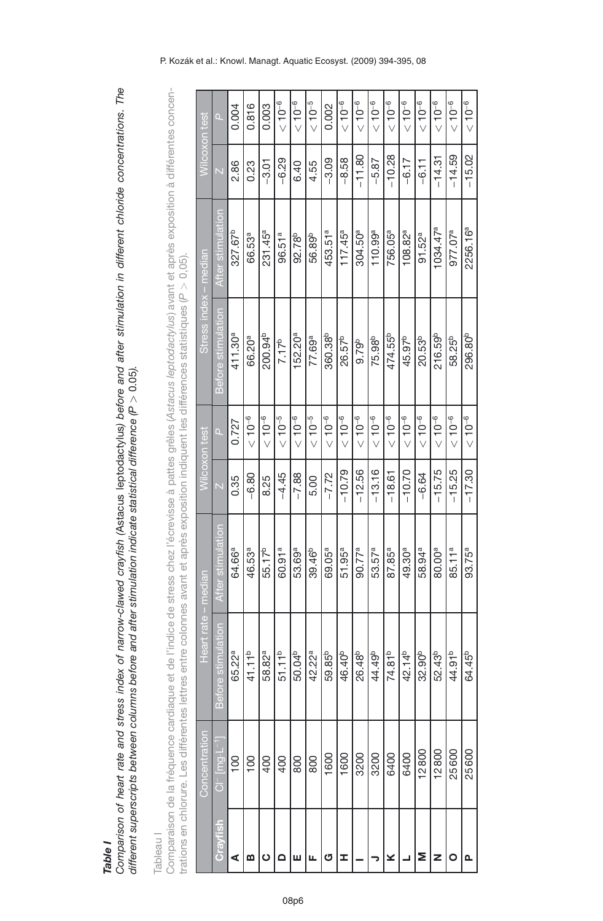Comparison of heart rate and stress index of narrow-clawed crayfish (Astacus leptodactylus) before and after stimulation in different chloride concentrations. The Comparison of heart rate and stress index of narrow-clawed crayfish (Astacus leptodactylus) before and after stimulation in different chloride concentrations. The *>* 0.05*).* different superscripts between columns before and after stimulation indicate statistical difference (P *Table I*

Tableau<sub>l</sub> Tableau I

Comparaison de la fréquence cardiaque et de l'indice de stress chez l'écrevisse à pattes grêles (Astacus leptodactylus) avant et après exposition à différentes concen-Comparaison de la fréquence cardiaque et de l'indice de stress chez l'écrevisse à pattes grêles (*Astacus leptodactylus*) avant et après exposition à différentes concen-*>* 0,05). trations en chlorure. Les différentes lettres entre colonnes avant et après exposition indiquent les différences statistiques (*P*

|          | Concentration         | Heart rate         | - median           |          | Wilcoxon test | Stress index - median |                      | Wilcoxon test |             |
|----------|-----------------------|--------------------|--------------------|----------|---------------|-----------------------|----------------------|---------------|-------------|
| Cravfish | $Cl^-$ [mg $L^{-1}$ ] | Before stimulation | After stimulation  |          | n             | Before stimulation    | After stimulatio     |               | $\Box$      |
| ⋖        | $\overline{00}$       | 65.22ª             | 64.66ª             | 0.35     | 0.727         | 411.30 <sup>a</sup>   | 327.67 <sup>b</sup>  | 2.86          | 0.004       |
| ഇ        | $\overline{00}$       | 41.11 <sup>b</sup> | 46.53ª             | $-6.80$  | $10^{-6}$     | 66.20ª                | 66.53ª               | 0.23          | 0.816       |
| ပ        | 400                   | 58.82ª             | 55.17 <sup>b</sup> | 8.25     | $10^{-6}$     | 200.94 <sup>b</sup>   | $231.45^a$           | $-3.01$       | 0.003       |
|          | 400                   | 51.11 <sup>b</sup> | 60.91ª             | $-4.45$  | $10^{-5}$     | 7.17 <sup>b</sup>     | 96.51 <sup>a</sup>   | $-6.29$       | $< 10^{-6}$ |
| ш        | 800                   | 50.04 <sup>b</sup> | 53.69ª             | $-7.88$  | $10^{-6}$     | 152.20 <sup>a</sup>   | 92.78 <sup>b</sup>   | 6.40          | $< 10^{-6}$ |
|          | 800                   | 42.22ª             | 39.46 <sup>b</sup> | 5.00     | $10^{-5}$     | 77.69ª                | 56.89 <sup>b</sup>   | 4.55          | $10^{-5}$   |
| ය        | 1600                  | 59.85 <sup>b</sup> | 69.05ª             | $-7.72$  | $10^{-6}$     | 360.38 <sup>b</sup>   | 453.51ª              | $-3.09$       | 0.002       |
| ェ        | 1600                  | 46.40 <sup>b</sup> | $51.95^a$          | $-10.79$ | $10^{-6}$     | 26.57 <sup>b</sup>    | $117.45^a$           | -8.58         | $10^{-6}$   |
|          | 3200                  | 26.48 <sup>b</sup> | 90.77 <sup>a</sup> | $-12.56$ | $10^{-6}$     | 9.79 <sup>b</sup>     | 304.50ª              | $-11.80$      | $10^{-6}$   |
|          | 3200                  | 44.49 <sup>b</sup> | 53.57ª             | $-13.16$ | $< 10^{-6}$   | 75.98 <sup>b</sup>    | 110.99a              | $-5.87$       | $< 10^{-6}$ |
| ⊻        | 6400                  | 74.81 <sup>b</sup> | 87.85ª             | $-18.61$ | $10^{-6}$     | 474.55 <sup>b</sup>   | 756.05ª              | $-10.28$      | $< 10^{-6}$ |
|          | 6400                  | 42.14 <sup>b</sup> | 49.30ª             | $-10.70$ | $10^{-6}$     | 45.97b                | 108.82 <sup>a</sup>  | $-6.17$       | $< 10^{-6}$ |
|          | 12800                 | 32.90 <sup>b</sup> | 58.94ª             | $-6.64$  | $10^{-6}$     | $20.53^{b}$           | 91.52 <sup>a</sup>   | $-6.11$       | $< 10^{-6}$ |
| z        | 12800                 | 52.43 <sup>b</sup> | 80.00ª             | $-15.75$ | $10^{-6}$     | 216.59b               | 1034.47 <sup>a</sup> | $-14.31$      | $< 10^{-6}$ |
|          | 25600                 | 44.91 <sup>b</sup> | 85.11 <sup>a</sup> | $-15.25$ | $10^{-6}$     | 58.25 <sup>b</sup>    | 977.07 <sup>a</sup>  | $-14.59$      | $10^{-6}$   |
|          | 25600                 | 64.45 <sup>b</sup> | 93.75ª             | $-17.30$ | $10^{-6}$     | 296.80 <sup>b</sup>   | 2256.16ª             | $-15.02$      | $10^{-6}$   |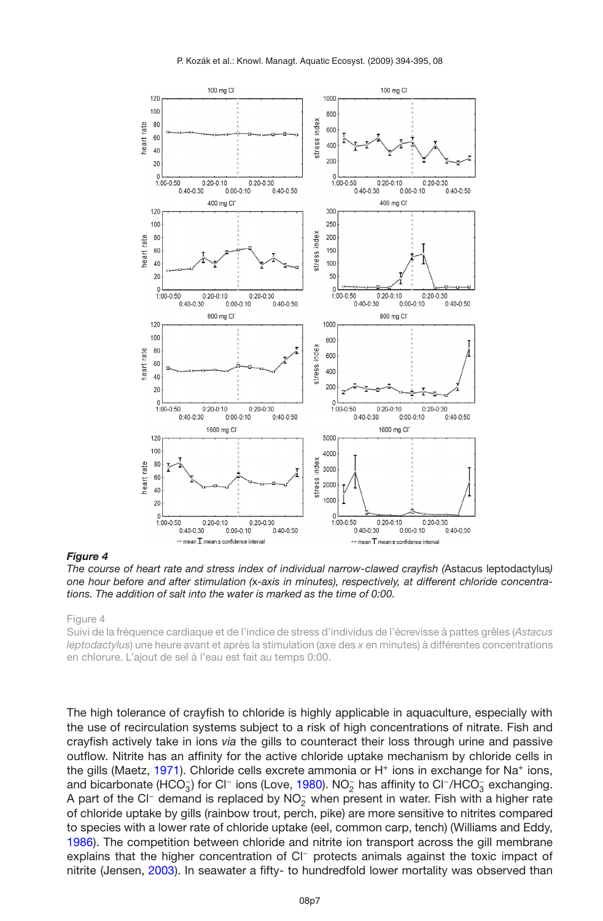

#### <span id="page-6-0"></span>*Figure 4*

*The course of heart rate and stress index of individual narrow-clawed crayfish (*Astacus leptodactylus*) one hour before and after stimulation (*x*-axis in minutes), respectively, at different chloride concentrations. The addition of salt into the water is marked as the time of 0:00.*

Figure 4

Suivi de la fréquence cardiaque et de l'indice de stress d'individus de l'écrevisse à pattes grêles (*Astacus leptodactylus*) une heure avant et après la stimulation (axe des *x* en minutes) à différentes concentrations en chlorure. L'ajout de sel à l'eau est fait au temps 0:00.

The high tolerance of crayfish to chloride is highly applicable in aquaculture, especially with the use of recirculation systems subject to a risk of high concentrations of nitrate. Fish and crayfish actively take in ions *via* the gills to counteract their loss through urine and passive outflow. Nitrite has an affinity for the active chloride uptake mechanism by chloride cells in the gills (Maetz, [1971](#page-8-20)). Chloride cells excrete ammonia or H<sup>+</sup> ions in exchange for Na<sup>+</sup> ions, and bicarbonate (HCO<sub>3</sub>) for Cl<sup>−</sup> ions (Love, [1980\)](#page-8-21). NO<sub>2</sub> has affinity to Cl<sup>−</sup>/HCO<sub>3</sub> exchanging. A part of the Cl<sup>−</sup> demand is replaced by NO<sub>2</sub> when present in water. Fish with a higher rate of chloride uptake by gills (rainbow trout, perch, pike) are more sensitive to nitrites compared to species with a lower rate of chloride uptake (eel, common carp, tench) (Williams and Eddy, [1986\)](#page-9-5). The competition between chloride and nitrite ion transport across the gill membrane explains that the higher concentration of Cl<sup>−</sup> protects animals against the toxic impact of nitrite (Jensen, [2003\)](#page-8-22). In seawater a fifty- to hundredfold lower mortality was observed than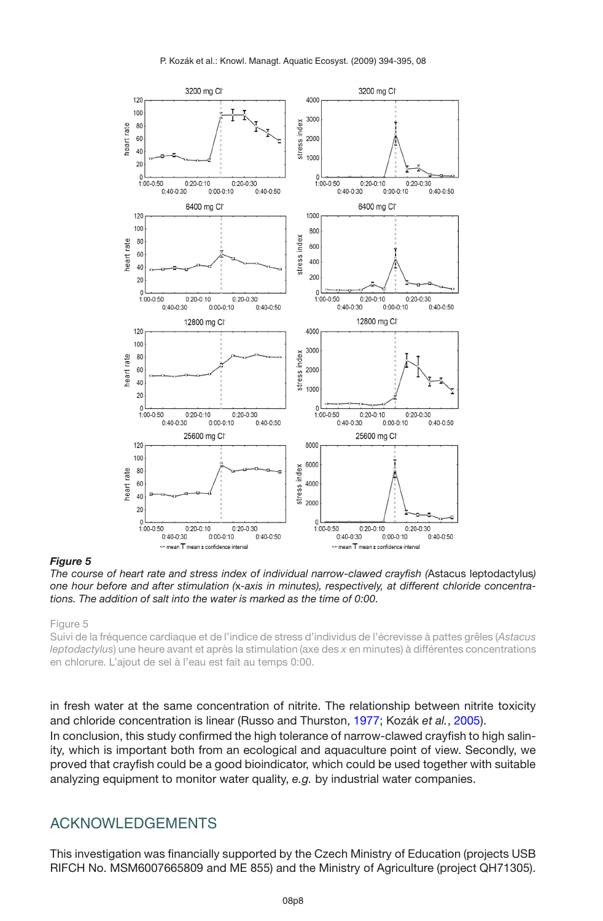

#### <span id="page-7-0"></span>*Figure 5*

*The course of heart rate and stress index of individual narrow-clawed crayfish (*Astacus leptodactylus*) one hour before and after stimulation (*x*-axis in minutes), respectively, at different chloride concentrations. The addition of salt into the water is marked as the time of 0:00.*

Figure 5

Suivi de la fréquence cardiaque et de l'indice de stress d'individus de l'écrevisse à pattes grêles (*Astacus leptodactylus*) une heure avant et après la stimulation (axe des *x* en minutes) à différentes concentrations en chlorure. L'ajout de sel à l'eau est fait au temps 0:00.

in fresh water at the same concentration of nitrite. The relationship between nitrite toxicity and chloride concentration is linear (Russo and Thurston, [1977](#page-9-6); Kozák *et al.*, [2005](#page-8-15)).

In conclusion, this study confirmed the high tolerance of narrow-clawed crayfish to high salinity, which is important both from an ecological and aquaculture point of view. Secondly, we proved that crayfish could be a good bioindicator, which could be used together with suitable analyzing equipment to monitor water quality, *e.g.* by industrial water companies.

### ACKNOWLEDGEMENTS

This investigation was financially supported by the Czech Ministry of Education (projects USB RIFCH No. MSM6007665809 and ME 855) and the Ministry of Agriculture (project QH71305).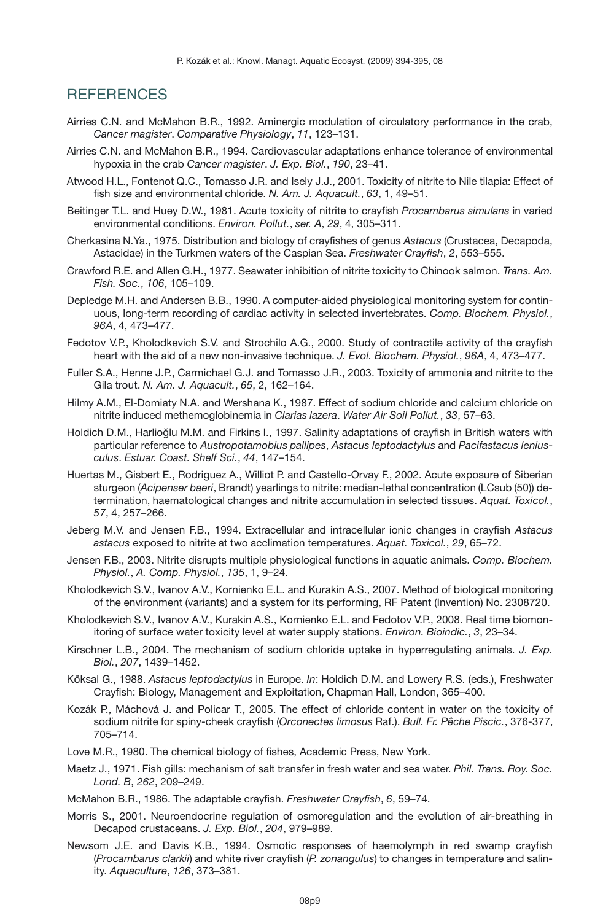## **REFERENCES**

- <span id="page-8-0"></span>Airries C.N. and McMahon B.R., 1992. Aminergic modulation of circulatory performance in the crab, *Cancer magister*. *Comparative Physiology*, *11*, 123–131.
- <span id="page-8-1"></span>Airries C.N. and McMahon B.R., 1994. Cardiovascular adaptations enhance tolerance of environmental hypoxia in the crab *Cancer magister*. *J. Exp. Biol.*, *190*, 23–41.
- <span id="page-8-9"></span>Atwood H.L., Fontenot Q.C., Tomasso J.R. and Isely J.J., 2001. Toxicity of nitrite to Nile tilapia: Effect of fish size and environmental chloride. *N. Am. J. Aquacult.*, *63*, 1, 49–51.
- <span id="page-8-12"></span>Beitinger T.L. and Huey D.W., 1981. Acute toxicity of nitrite to crayfish *Procambarus simulans* in varied environmental conditions. *Environ. Pollut.*, *ser. A*, *29*, 4, 305–311.
- <span id="page-8-3"></span>Cherkasina N.Ya., 1975. Distribution and biology of crayfishes of genus *Astacus* (Crustacea, Decapoda, Astacidae) in the Turkmen waters of the Caspian Sea. *Freshwater Crayfish*, *2*, 553–555.
- <span id="page-8-14"></span>Crawford R.E. and Allen G.H., 1977. Seawater inhibition of nitrite toxicity to Chinook salmon. *Trans. Am. Fish. Soc.*, *106*, 105–109.
- <span id="page-8-17"></span>Depledge M.H. and Andersen B.B., 1990. A computer-aided physiological monitoring system for continuous, long-term recording of cardiac activity in selected invertebrates. *Comp. Biochem. Physiol.*, *96A*, 4, 473–477.
- <span id="page-8-18"></span>Fedotov V.P., Kholodkevich S.V. and Strochilo A.G., 2000. Study of contractile activity of the crayfish heart with the aid of a new non-invasive technique. *J. Evol. Biochem. Physiol.*, *96A*, 4, 473–477.
- <span id="page-8-11"></span>Fuller S.A., Henne J.P., Carmichael G.J. and Tomasso J.R., 2003. Toxicity of ammonia and nitrite to the Gila trout. *N. Am. J. Aquacult.*, *65*, 2, 162–164.
- <span id="page-8-8"></span>Hilmy A.M., El-Domiaty N.A. and Wershana K., 1987. Effect of sodium chloride and calcium chloride on nitrite induced methemoglobinemia in *Clarias lazera*. *Water Air Soil Pollut.*, *33*, 57–63.
- <span id="page-8-5"></span>Holdich D.M., Harlioğlu M.M. and Firkins I., 1997. Salinity adaptations of crayfish in British waters with particular reference to *Austropotamobius pallipes*, *Astacus leptodactylus* and *Pacifastacus leniusculus*. *Estuar. Coast. Shelf Sci.*, *44*, 147–154.
- <span id="page-8-10"></span>Huertas M., Gisbert E., Rodriguez A., Williot P. and Castello-Orvay F., 2002. Acute exposure of Siberian sturgeon (*Acipenser baeri*, Brandt) yearlings to nitrite: median-lethal concentration (LCsub (50)) determination, haematological changes and nitrite accumulation in selected tissues. *Aquat. Toxicol.*, *57*, 4, 257–266.
- <span id="page-8-13"></span>Jeberg M.V. and Jensen F.B., 1994. Extracellular and intracellular ionic changes in crayfish *Astacus astacus* exposed to nitrite at two acclimation temperatures. *Aquat. Toxicol.*, *29*, 65–72.
- <span id="page-8-22"></span>Jensen F.B., 2003. Nitrite disrupts multiple physiological functions in aquatic animals. *Comp. Biochem. Physiol.*, *A. Comp. Physiol.*, *135*, 1, 9–24.
- <span id="page-8-19"></span>Kholodkevich S.V., Ivanov A.V., Kornienko E.L. and Kurakin A.S., 2007. Method of biological monitoring of the environment (variants) and a system for its performing, RF Patent (Invention) No. 2308720.
- <span id="page-8-16"></span>Kholodkevich S.V., Ivanov A.V., Kurakin A.S., Kornienko E.L. and Fedotov V.P., 2008. Real time biomonitoring of surface water toxicity level at water supply stations. *Environ. Bioindic.*, *3*, 23–34.
- <span id="page-8-7"></span>Kirschner L.B., 2004. The mechanism of sodium chloride uptake in hyperregulating animals. *J. Exp. Biol.*, *207*, 1439–1452.
- <span id="page-8-4"></span>Köksal G., 1988. *Astacus leptodactylus* in Europe. *In*: Holdich D.M. and Lowery R.S. (eds.), Freshwater Crayfish: Biology, Management and Exploitation, Chapman Hall, London, 365–400.
- <span id="page-8-15"></span>Kozák P., Máchová J. and Policar T., 2005. The effect of chloride content in water on the toxicity of sodium nitrite for spiny-cheek crayfish (*Orconectes limosus* Raf.). *Bull. Fr. Pêche Piscic.*, 376-377, 705–714.
- <span id="page-8-21"></span>Love M.R., 1980. The chemical biology of fishes, Academic Press, New York.
- <span id="page-8-20"></span>Maetz J., 1971. Fish gills: mechanism of salt transfer in fresh water and sea water. *Phil. Trans. Roy. Soc. Lond. B*, *262*, 209–249.
- <span id="page-8-2"></span>McMahon B.R., 1986. The adaptable crayfish. *Freshwater Crayfish*, *6*, 59–74.
- <span id="page-8-6"></span>Morris S., 2001. Neuroendocrine regulation of osmoregulation and the evolution of air-breathing in Decapod crustaceans. *J. Exp. Biol.*, *204*, 979–989.
- Newsom J.E. and Davis K.B., 1994. Osmotic responses of haemolymph in red swamp crayfish (*Procambarus clarkii*) and white river crayfish (*P. zonangulus*) to changes in temperature and salinity. *Aquaculture*, *126*, 373–381.